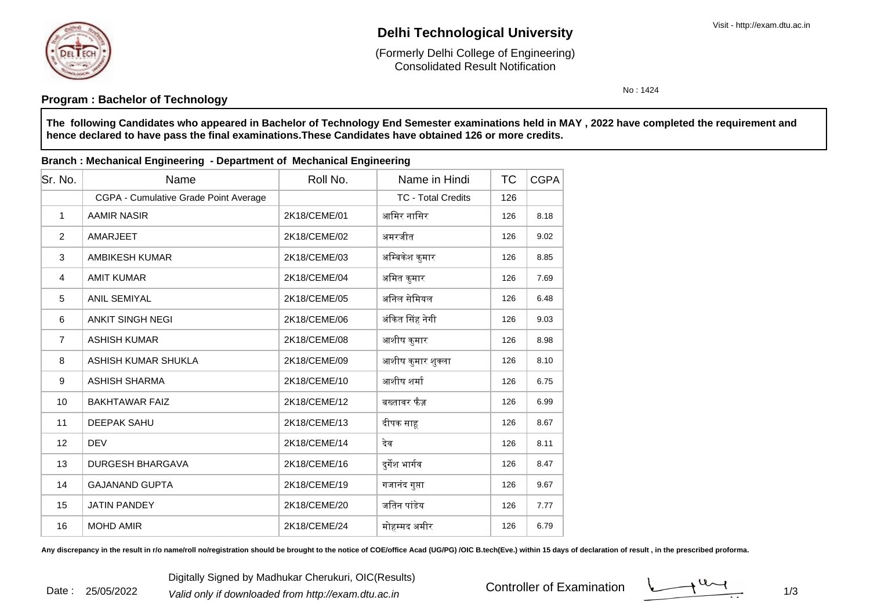

Date : 25/05/2022

# **Delhi Technological University**

Consolidated Result Notification(Formerly Delhi College of Engineering)

No : 1424

## **Program : Bachelor of Technology**

**The following Candidates who appeared in Bachelor of Technology End Semester examinations held in MAY , 2022 have completed the requirement andhence declared to have pass the final examinations.These Candidates have obtained 126 or more credits.**

#### **Branch : Mechanical Engineering - Department of Mechanical Engineering**

| Sr. No.        | Name                                  | Roll No.     | Name in Hindi             | ТC  | <b>CGPA</b> |
|----------------|---------------------------------------|--------------|---------------------------|-----|-------------|
|                | CGPA - Cumulative Grade Point Average |              | <b>TC - Total Credits</b> | 126 |             |
| $\mathbf{1}$   | <b>AAMIR NASIR</b>                    | 2K18/CEME/01 | आमिर नासिर                | 126 | 8.18        |
| 2              | <b>AMARJEET</b>                       | 2K18/CEME/02 | अमरजीत                    | 126 | 9.02        |
| 3              | <b>AMBIKESH KUMAR</b>                 | 2K18/CEME/03 | अम्बिकेश कुमार            | 126 | 8.85        |
| $\overline{4}$ | <b>AMIT KUMAR</b>                     | 2K18/CEME/04 | अमित कुमार                | 126 | 7.69        |
| 5              | <b>ANIL SEMIYAL</b>                   | 2K18/CEME/05 | अनिल सेमियल               | 126 | 6.48        |
| 6              | <b>ANKIT SINGH NEGI</b>               | 2K18/CEME/06 | अंकित सिंह नेगी           | 126 | 9.03        |
| $\overline{7}$ | <b>ASHISH KUMAR</b>                   | 2K18/CEME/08 | आशीष कुमार                | 126 | 8.98        |
| 8              | ASHISH KUMAR SHUKLA                   | 2K18/CEME/09 | आशीष कुमार शुक्ला         | 126 | 8.10        |
| 9              | <b>ASHISH SHARMA</b>                  | 2K18/CEME/10 | आशीष शर्मा                | 126 | 6.75        |
| 10             | <b>BAKHTAWAR FAIZ</b>                 | 2K18/CEME/12 | बख्तावर फैज़              | 126 | 6.99        |
| 11             | DEEPAK SAHU                           | 2K18/CEME/13 | दीपक साह                  | 126 | 8.67        |
| 12             | <b>DEV</b>                            | 2K18/CEME/14 | देव                       | 126 | 8.11        |
| 13             | <b>DURGESH BHARGAVA</b>               | 2K18/CEME/16 | दुर्गेश भार्गव            | 126 | 8.47        |
| 14             | <b>GAJANAND GUPTA</b>                 | 2K18/CEME/19 | गजानंद गुप्ता             | 126 | 9.67        |
| 15             | <b>JATIN PANDEY</b>                   | 2K18/CEME/20 | जतिन पांडेय               | 126 | 7.77        |
| 16             | <b>MOHD AMIR</b>                      | 2K18/CEME/24 | मोहम्मद अमीर              | 126 | 6.79        |

Any discrepancy in the result in r/o name/roll no/registration should be brought to the notice of COE/office Acad (UG/PG) /OIC B.tech(Eve.) within 15 days of declaration of result, in the prescribed proforma.

 $1/3$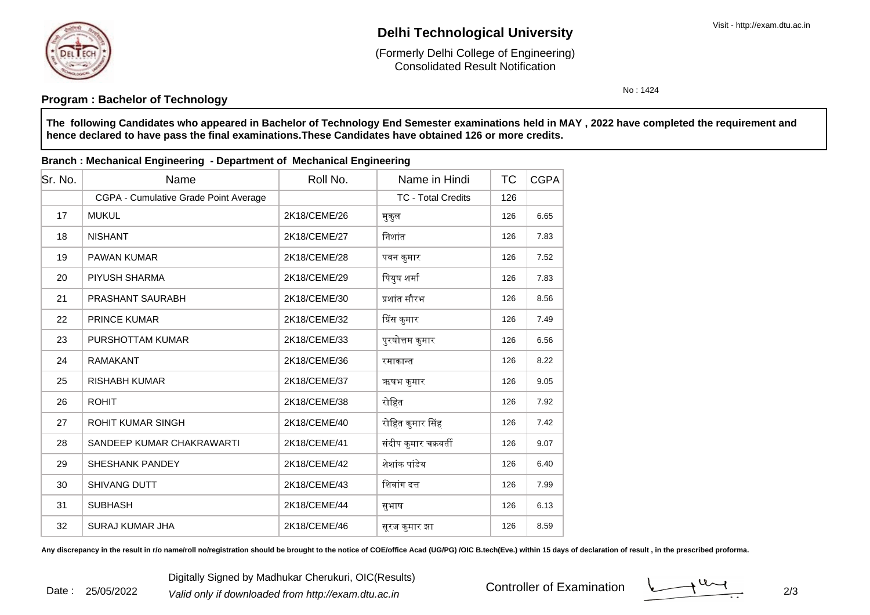

Date : 25/05/2022

# **Delhi Technological University**

Consolidated Result Notification(Formerly Delhi College of Engineering)

No : 1424

## **Program : Bachelor of Technology**

**The following Candidates who appeared in Bachelor of Technology End Semester examinations held in MAY , 2022 have completed the requirement andhence declared to have pass the final examinations.These Candidates have obtained 126 or more credits.**

#### **Branch : Mechanical Engineering - Department of Mechanical Engineering**

| Sr. No. | Name                                  | Roll No.     | Name in Hindi             | <b>TC</b> | <b>CGPA</b> |
|---------|---------------------------------------|--------------|---------------------------|-----------|-------------|
|         | CGPA - Cumulative Grade Point Average |              | <b>TC - Total Credits</b> | 126       |             |
| 17      | <b>MUKUL</b>                          | 2K18/CEME/26 | मुकुल                     | 126       | 6.65        |
| 18      | <b>NISHANT</b>                        | 2K18/CEME/27 | निशांत                    | 126       | 7.83        |
| 19      | <b>PAWAN KUMAR</b>                    | 2K18/CEME/28 | पवन कुमार                 | 126       | 7.52        |
| 20      | PIYUSH SHARMA                         | 2K18/CEME/29 | पियुष शर्मा               | 126       | 7.83        |
| 21      | <b>PRASHANT SAURABH</b>               | 2K18/CEME/30 | प्रशांत सौरभ              | 126       | 8.56        |
| 22      | <b>PRINCE KUMAR</b>                   | 2K18/CEME/32 | प्रिंस कुमार              | 126       | 7.49        |
| 23      | PURSHOTTAM KUMAR                      | 2K18/CEME/33 | पुरषोत्तम कुमार           | 126       | 6.56        |
| 24      | <b>RAMAKANT</b>                       | 2K18/CEME/36 | रमाकान्त                  | 126       | 8.22        |
| 25      | <b>RISHABH KUMAR</b>                  | 2K18/CEME/37 | ऋषभ कुमार                 | 126       | 9.05        |
| 26      | <b>ROHIT</b>                          | 2K18/CEME/38 | रोहित                     | 126       | 7.92        |
| 27      | <b>ROHIT KUMAR SINGH</b>              | 2K18/CEME/40 | रोहित कुमार सिंह          | 126       | 7.42        |
| 28      | SANDEEP KUMAR CHAKRAWARTI             | 2K18/CEME/41 | संदीप कुमार चक्रवर्ती     | 126       | 9.07        |
| 29      | <b>SHESHANK PANDEY</b>                | 2K18/CEME/42 | शेशांक पांडेय             | 126       | 6.40        |
| 30      | <b>SHIVANG DUTT</b>                   | 2K18/CEME/43 | शिवांग दत्त               | 126       | 7.99        |
| 31      | <b>SUBHASH</b>                        | 2K18/CEME/44 | सुभाष                     | 126       | 6.13        |
| 32      | <b>SURAJ KUMAR JHA</b>                | 2K18/CEME/46 | सूरज कुमार झा             | 126       | 8.59        |

Any discrepancy in the result in r/o name/roll no/registration should be brought to the notice of COE/office Acad (UG/PG) /OIC B.tech(Eve.) within 15 days of declaration of result, in the prescribed proforma.

Controller of Examination

 $\frac{1}{2}$  2/3